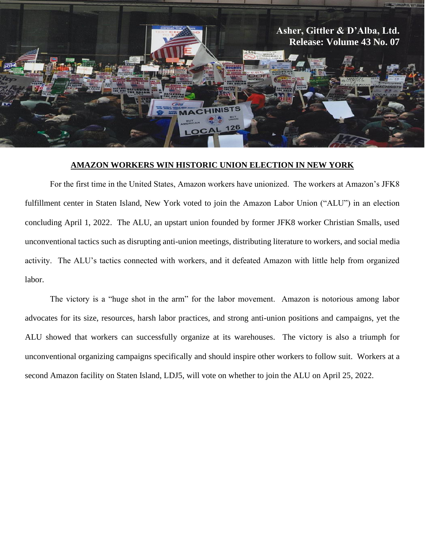

## **AMAZON WORKERS WIN HISTORIC UNION ELECTION IN NEW YORK**

For the first time in the United States, Amazon workers have unionized. The workers at Amazon's JFK8 fulfillment center in Staten Island, New York voted to join the Amazon Labor Union ("ALU") in an election concluding April 1, 2022. The ALU, an upstart union founded by former JFK8 worker Christian Smalls, used unconventional tactics such as disrupting anti-union meetings, distributing literature to workers, and social media activity. The ALU's tactics connected with workers, and it defeated Amazon with little help from organized labor.

The victory is a "huge shot in the arm" for the labor movement. Amazon is notorious among labor advocates for its size, resources, harsh labor practices, and strong anti-union positions and campaigns, yet the ALU showed that workers can successfully organize at its warehouses. The victory is also a triumph for unconventional organizing campaigns specifically and should inspire other workers to follow suit. Workers at a second Amazon facility on Staten Island, LDJ5, will vote on whether to join the ALU on April 25, 2022.